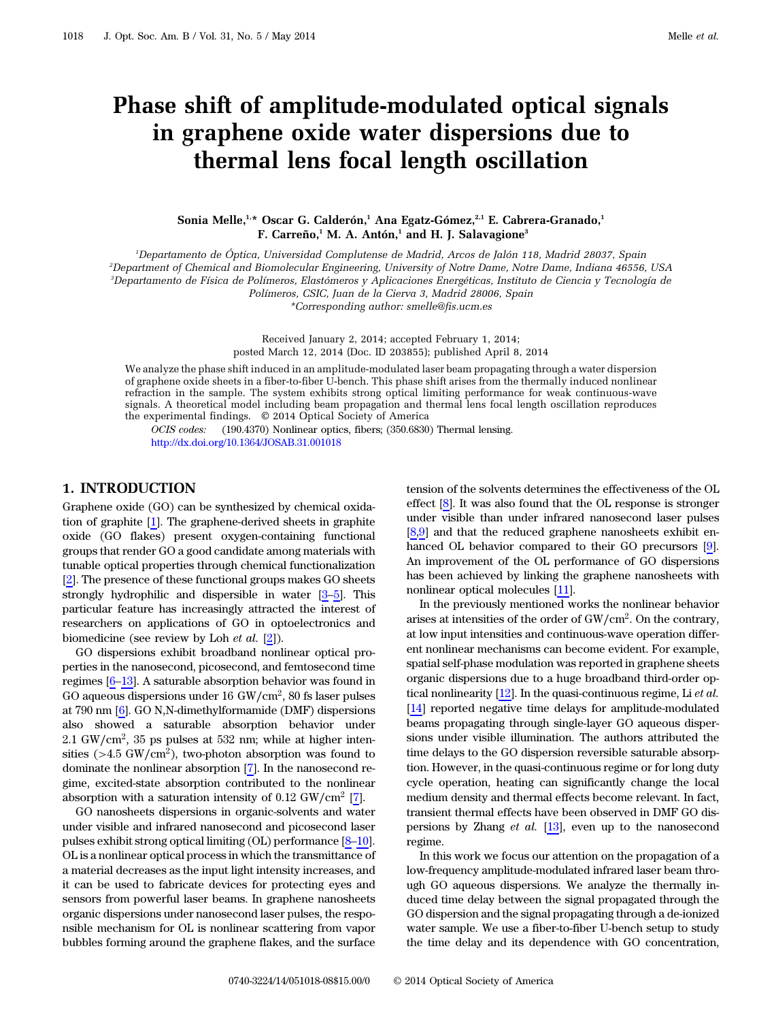# Phase shift of amplitude-modulated optical signals in graphene oxide water dispersions due to thermal lens focal length oscillation

Sonia Melle,<sup>1,\*</sup> Oscar G. Calderón,<sup>1</sup> Ana Egatz-Gómez,<sup>2,1</sup> E. Cabrera-Granado,<sup>1</sup> F. Carreño,<sup>1</sup> M. A. Antón,<sup>1</sup> and H. J. Salavagione<sup>3</sup>

1 Departamento de Óptica, Universidad Complutense de Madrid, Arcos de Jalón 118, Madrid 28037, Spain

2 Department of Chemical and Biomolecular Engineering, University of Notre Dame, Notre Dame, Indiana 46556, USA 3 Departamento de Física de Polímeros, Elastómeros y Aplicaciones Energéticas, Instituto de Ciencia y Tecnología de

Polímeros, CSIC, Juan de la Cierva 3, Madrid 28006, Spain

\*Corresponding author: smelle@fis.ucm.es

Received January 2, 2014; accepted February 1, 2014; posted March 12, 2014 (Doc. ID 203855); published April 8, 2014

We analyze the phase shift induced in an amplitude-modulated laser beam propagating through a water dispersion of graphene oxide sheets in a fiber-to-fiber U-bench. This phase shift arises from the thermally induced nonlinear refraction in the sample. The system exhibits strong optical limiting performance for weak continuous-wave signals. A theoretical model including beam propagation and thermal lens focal length oscillation reproduces the experimental findings. © 2014 Optical Society of America

OCIS codes: (190.4370) Nonlinear optics, fibers; (350.6830) Thermal lensing. <http://dx.doi.org/10.1364/JOSAB.31.001018>

# 1. INTRODUCTION

Graphene oxide (GO) can be synthesized by chemical oxidation of graphite [[1](#page-6-0)]. The graphene-derived sheets in graphite oxide (GO flakes) present oxygen-containing functional groups that render GO a good candidate among materials with tunable optical properties through chemical functionalization [[2](#page-6-1)]. The presence of these functional groups makes GO sheets strongly hydrophilic and dispersible in water [\[3](#page-6-2)–[5\]](#page-6-3). This particular feature has increasingly attracted the interest of researchers on applications of GO in optoelectronics and biomedicine (see review by Loh et al.  $[2]$  $[2]$  $[2]$ ).

GO dispersions exhibit broadband nonlinear optical properties in the nanosecond, picosecond, and femtosecond time regimes [\[6](#page-6-4)–[13](#page-7-0)]. A saturable absorption behavior was found in GO aqueous dispersions under 16 GW∕cm2, 80 fs laser pulses at 790 nm [\[6\]](#page-6-4). GO N,N-dimethylformamide (DMF) dispersions also showed a saturable absorption behavior under 2.1 GW∕cm2, 35 ps pulses at 532 nm; while at higher intensities ( $>4.5$  GW/cm<sup>2</sup>), two-photon absorption was found to dominate the nonlinear absorption [[7](#page-6-5)]. In the nanosecond regime, excited-state absorption contributed to the nonlinear absorption with a saturation intensity of  $0.12 \text{ GW/cm}^2$  [\[7\]](#page-6-5).

GO nanosheets dispersions in organic-solvents and water under visible and infrared nanosecond and picosecond laser pulses exhibit strong optical limiting (OL) performance [[8](#page-6-6)–[10\]](#page-6-7). OL is a nonlinear optical process in which the transmittance of a material decreases as the input light intensity increases, and it can be used to fabricate devices for protecting eyes and sensors from powerful laser beams. In graphene nanosheets organic dispersions under nanosecond laser pulses, the responsible mechanism for OL is nonlinear scattering from vapor bubbles forming around the graphene flakes, and the surface

tension of the solvents determines the effectiveness of the OL effect [\[8\]](#page-6-6). It was also found that the OL response is stronger under visible than under infrared nanosecond laser pulses [[8](#page-6-6),[9](#page-6-8)] and that the reduced graphene nanosheets exhibit en-hanced OL behavior compared to their GO precursors [\[9\]](#page-6-8). An improvement of the OL performance of GO dispersions has been achieved by linking the graphene nanosheets with nonlinear optical molecules [[11\]](#page-6-9).

In the previously mentioned works the nonlinear behavior arises at intensities of the order of GW∕cm<sup>2</sup>. On the contrary, at low input intensities and continuous-wave operation different nonlinear mechanisms can become evident. For example, spatial self-phase modulation was reported in graphene sheets organic dispersions due to a huge broadband third-order optical nonlinearity  $[12]$  $[12]$ . In the quasi-continuous regime, Li et al. [[14\]](#page-7-1) reported negative time delays for amplitude-modulated beams propagating through single-layer GO aqueous dispersions under visible illumination. The authors attributed the time delays to the GO dispersion reversible saturable absorption. However, in the quasi-continuous regime or for long duty cycle operation, heating can significantly change the local medium density and thermal effects become relevant. In fact, transient thermal effects have been observed in DMF GO dispersions by Zhang et al. [\[13](#page-7-0)], even up to the nanosecond regime.

In this work we focus our attention on the propagation of a low-frequency amplitude-modulated infrared laser beam through GO aqueous dispersions. We analyze the thermally induced time delay between the signal propagated through the GO dispersion and the signal propagating through a de-ionized water sample. We use a fiber-to-fiber U-bench setup to study the time delay and its dependence with GO concentration,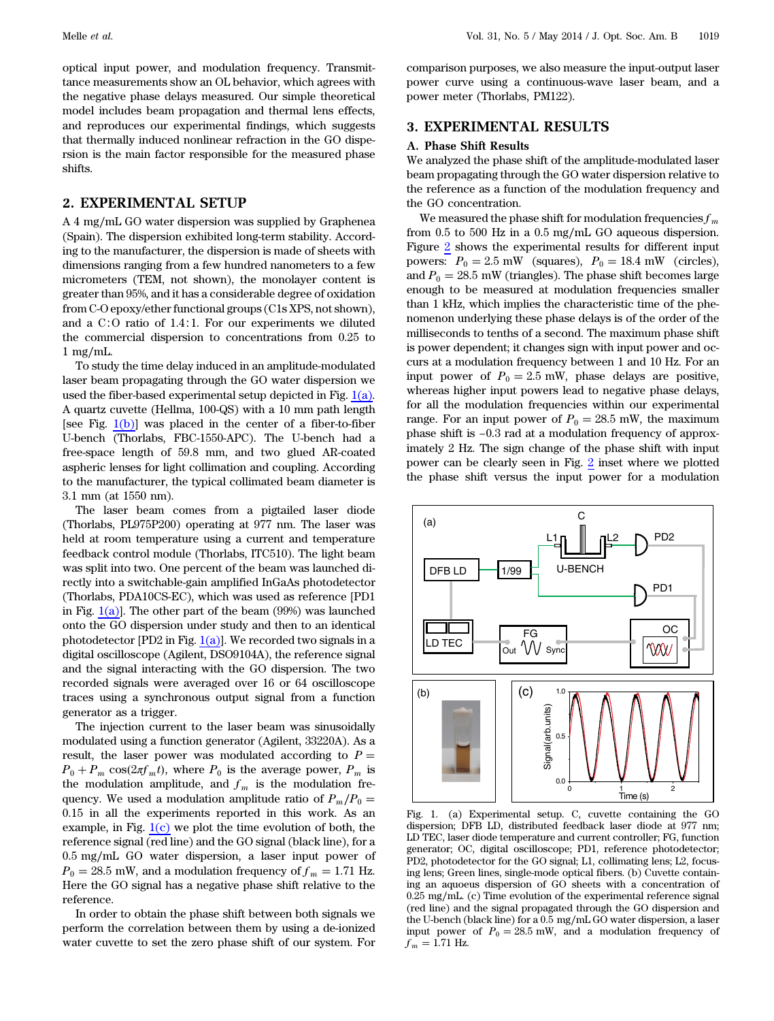optical input power, and modulation frequency. Transmittance measurements show an OL behavior, which agrees with the negative phase delays measured. Our simple theoretical model includes beam propagation and thermal lens effects, and reproduces our experimental findings, which suggests that thermally induced nonlinear refraction in the GO dispersion is the main factor responsible for the measured phase shifts.

# 2. EXPERIMENTAL SETUP

A 4 mg∕mL GO water dispersion was supplied by Graphenea (Spain). The dispersion exhibited long-term stability. According to the manufacturer, the dispersion is made of sheets with dimensions ranging from a few hundred nanometers to a few micrometers (TEM, not shown), the monolayer content is greater than 95%, and it has a considerable degree of oxidation from C-O epoxy/ether functional groups (C1s XPS, not shown), and a C∶O ratio of 1.4∶1. For our experiments we diluted the commercial dispersion to concentrations from 0.25 to 1 mg∕mL.

To study the time delay induced in an amplitude-modulated laser beam propagating through the GO water dispersion we used the fiber-based experimental setup depicted in Fig.  $1(a)$ . A quartz cuvette (Hellma, 100-QS) with a 10 mm path length [see Fig.  $1(b)$ ] was placed in the center of a fiber-to-fiber U-bench (Thorlabs, FBC-1550-APC). The U-bench had a free-space length of 59.8 mm, and two glued AR-coated aspheric lenses for light collimation and coupling. According to the manufacturer, the typical collimated beam diameter is 3.1 mm (at 1550 nm).

The laser beam comes from a pigtailed laser diode (Thorlabs, PL975P200) operating at 977 nm. The laser was held at room temperature using a current and temperature feedback control module (Thorlabs, ITC510). The light beam was split into two. One percent of the beam was launched directly into a switchable-gain amplified InGaAs photodetector (Thorlabs, PDA10CS-EC), which was used as reference [PD1 in Fig.  $1(a)$ ]. The other part of the beam (99%) was launched onto the GO dispersion under study and then to an identical photodetector [PD2 in Fig.  $1(a)$ ]. We recorded two signals in a digital oscilloscope (Agilent, DSO9104A), the reference signal and the signal interacting with the GO dispersion. The two recorded signals were averaged over 16 or 64 oscilloscope traces using a synchronous output signal from a function generator as a trigger.

The injection current to the laser beam was sinusoidally modulated using a function generator (Agilent, 33220A). As a result, the laser power was modulated according to  $P =$  $P_0 + P_m \cos(2\pi f_m t)$ , where  $P_0$  is the average power,  $P_m$  is the modulation amplitude, and  $f_m$  is the modulation frequency. We used a modulation amplitude ratio of  $P_m/P_0=$ 0.15 in all the experiments reported in this work. As an example, in Fig.  $1(c)$  we plot the time evolution of both, the reference signal (red line) and the GO signal (black line), for a 0.5 mg∕mL GO water dispersion, a laser input power of  $P_0 = 28.5$  mW, and a modulation frequency of  $f_m = 1.71$  Hz. Here the GO signal has a negative phase shift relative to the reference.

In order to obtain the phase shift between both signals we perform the correlation between them by using a de-ionized water cuvette to set the zero phase shift of our system. For

comparison purposes, we also measure the input-output laser power curve using a continuous-wave laser beam, and a power meter (Thorlabs, PM122).

### 3. EXPERIMENTAL RESULTS

#### A. Phase Shift Results

We analyzed the phase shift of the amplitude-modulated laser beam propagating through the GO water dispersion relative to the reference as a function of the modulation frequency and the GO concentration.

We measured the phase shift for modulation frequencies  $f_m$ from 0.5 to 500 Hz in a 0.5 mg/mL GO aqueous dispersion. Figure [2](#page-2-0) shows the experimental results for different input powers:  $P_0 = 2.5$  mW (squares),  $P_0 = 18.4$  mW (circles), and  $P_0 = 28.5$  mW (triangles). The phase shift becomes large enough to be measured at modulation frequencies smaller than 1 kHz, which implies the characteristic time of the phenomenon underlying these phase delays is of the order of the milliseconds to tenths of a second. The maximum phase shift is power dependent; it changes sign with input power and occurs at a modulation frequency between 1 and 10 Hz. For an input power of  $P_0 = 2.5$  mW, phase delays are positive, whereas higher input powers lead to negative phase delays, for all the modulation frequencies within our experimental range. For an input power of  $P_0 = 28.5$  mW, the maximum phase shift is −0.3 rad at a modulation frequency of approximately 2 Hz. The sign change of the phase shift with input power can be clearly seen in Fig. [2](#page-2-0) inset where we plotted the phase shift versus the input power for a modulation

<span id="page-1-0"></span>

Fig. 1. (a) Experimental setup. C, cuvette containing the GO dispersion; DFB LD, distributed feedback laser diode at 977 nm; LD TEC, laser diode temperature and current controller; FG, function generator; OC, digital oscilloscope; PD1, reference photodetector; PD2, photodetector for the GO signal; L1, collimating lens; L2, focusing lens; Green lines, single-mode optical fibers. (b) Cuvette containing an aquoeus dispersion of GO sheets with a concentration of 0.25 mg∕mL. (c) Time evolution of the experimental reference signal (red line) and the signal propagated through the GO dispersion and the U-bench (black line) for a 0.5 mg∕mL GO water dispersion, a laser input power of  $P_0 = 28.5$  mW, and a modulation frequency of  $f_m = 1.71$  Hz.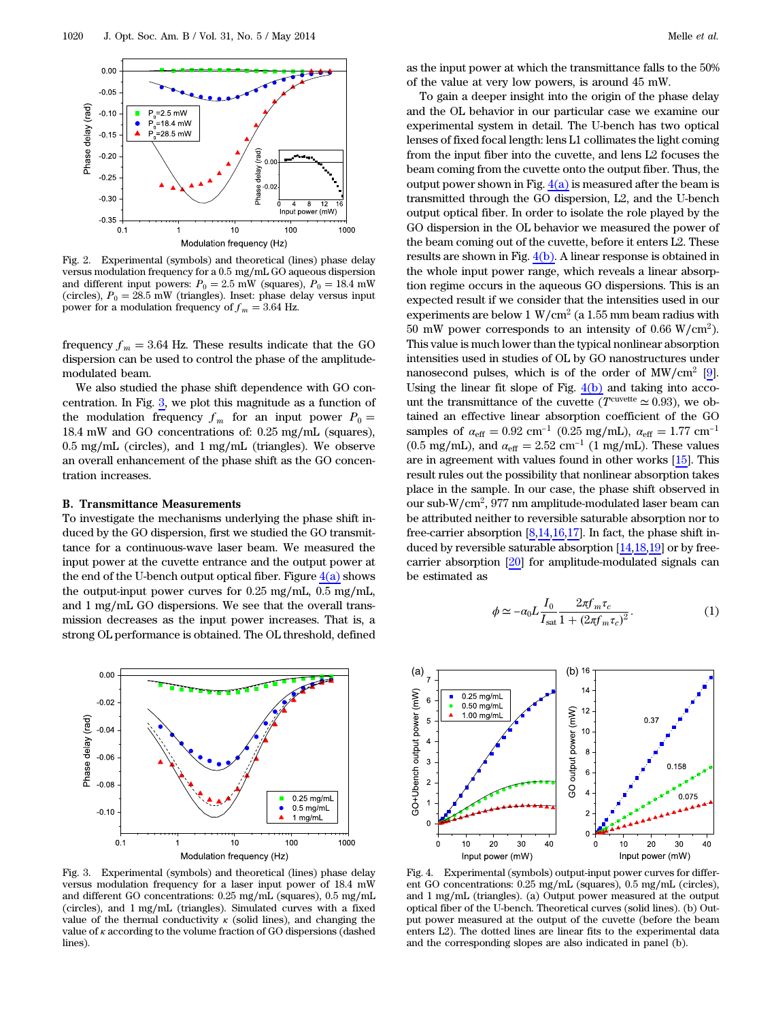<span id="page-2-0"></span>

Fig. 2. Experimental (symbols) and theoretical (lines) phase delay versus modulation frequency for a 0.5 mg∕mL GO aqueous dispersion and different input powers:  $P_0 = 2.5$  mW (squares),  $P_0 = 18.4$  mW (circles),  $P_0 = 28.5$  mW (triangles). Inset: phase delay versus input power for a modulation frequency of  $f_m = 3.64$  Hz.

frequency  $f_m = 3.64$  Hz. These results indicate that the GO dispersion can be used to control the phase of the amplitudemodulated beam.

We also studied the phase shift dependence with GO concentration. In Fig.  $3$ , we plot this magnitude as a function of the modulation frequency  $f_m$  for an input power  $P_0=$ 18.4 mW and GO concentrations of: 0.25 mg∕mL (squares), 0.5 mg∕mL (circles), and 1 mg∕mL (triangles). We observe an overall enhancement of the phase shift as the GO concentration increases.

#### B. Transmittance Measurements

To investigate the mechanisms underlying the phase shift induced by the GO dispersion, first we studied the GO transmittance for a continuous-wave laser beam. We measured the input power at the cuvette entrance and the output power at the end of the U-bench output optical fiber. Figure  $4(a)$  shows the output-input power curves for 0.25 mg∕mL, 0.5 mg∕mL, and 1 mg∕mL GO dispersions. We see that the overall transmission decreases as the input power increases. That is, a strong OL performance is obtained. The OL threshold, defined

<span id="page-2-1"></span>

Fig. 3. Experimental (symbols) and theoretical (lines) phase delay versus modulation frequency for a laser input power of 18.4 mW and different GO concentrations: 0.25 mg∕mL (squares), 0.5 mg∕mL (circles), and 1 mg∕mL (triangles). Simulated curves with a fixed value of the thermal conductivity  $\kappa$  (solid lines), and changing the value of κ according to the volume fraction of GO dispersions (dashed lines).

as the input power at which the transmittance falls to the 50% of the value at very low powers, is around 45 mW.

To gain a deeper insight into the origin of the phase delay and the OL behavior in our particular case we examine our experimental system in detail. The U-bench has two optical lenses of fixed focal length: lens L1 collimates the light coming from the input fiber into the cuvette, and lens L2 focuses the beam coming from the cuvette onto the output fiber. Thus, the output power shown in Fig.  $4(a)$  is measured after the beam is transmitted through the GO dispersion, L2, and the U-bench output optical fiber. In order to isolate the role played by the GO dispersion in the OL behavior we measured the power of the beam coming out of the cuvette, before it enters L2. These results are shown in Fig. [4\(b\)](#page-2-2). A linear response is obtained in the whole input power range, which reveals a linear absorption regime occurs in the aqueous GO dispersions. This is an expected result if we consider that the intensities used in our experiments are below 1 W/cm<sup>2</sup> (a 1.55 mm beam radius with 50 mW power corresponds to an intensity of 0.66 W/cm<sup>2</sup>). This value is much lower than the typical nonlinear absorption intensities used in studies of OL by GO nanostructures under nanosecond pulses, which is of the order of  $MW/cm^2$  [\[9\]](#page-6-8). Using the linear fit slope of Fig.  $4(b)$  and taking into account the transmittance of the cuvette ( $T^{\text{curve}ttte} \simeq 0.93$ ), we obtained an effective linear absorption coefficient of the GO samples of  $\alpha_{\rm eff} = 0.92$  cm<sup>-1</sup> (0.25 mg/mL),  $\alpha_{\rm eff} = 1.77$  cm<sup>-1</sup> (0.5 mg/mL), and  $\alpha_{\text{eff}} = 2.52 \text{ cm}^{-1}$  (1 mg/mL). These values are in agreement with values found in other works [\[15](#page-7-2)]. This result rules out the possibility that nonlinear absorption takes place in the sample. In our case, the phase shift observed in our sub-W∕cm<sup>2</sup>, 977 nm amplitude-modulated laser beam can be attributed neither to reversible saturable absorption nor to free-carrier absorption  $[8,14,16,17]$  $[8,14,16,17]$  $[8,14,16,17]$  $[8,14,16,17]$  $[8,14,16,17]$ . In fact, the phase shift induced by reversible saturable absorption [[14,](#page-7-1)[18](#page-7-5)[,19](#page-7-6)] or by freecarrier absorption [[20\]](#page-7-7) for amplitude-modulated signals can be estimated as

<span id="page-2-3"></span>
$$
\phi \simeq -\alpha_0 L \frac{I_0}{I_{\text{sat}}} \frac{2\pi f_m \tau_c}{1 + (2\pi f_m \tau_c)^2}.
$$
\n(1)

<span id="page-2-2"></span>

Fig. 4. Experimental (symbols) output-input power curves for different GO concentrations: 0.25 mg∕mL (squares), 0.5 mg∕mL (circles), and 1 mg∕mL (triangles). (a) Output power measured at the output optical fiber of the U-bench. Theoretical curves (solid lines). (b) Output power measured at the output of the cuvette (before the beam enters L2). The dotted lines are linear fits to the experimental data and the corresponding slopes are also indicated in panel (b).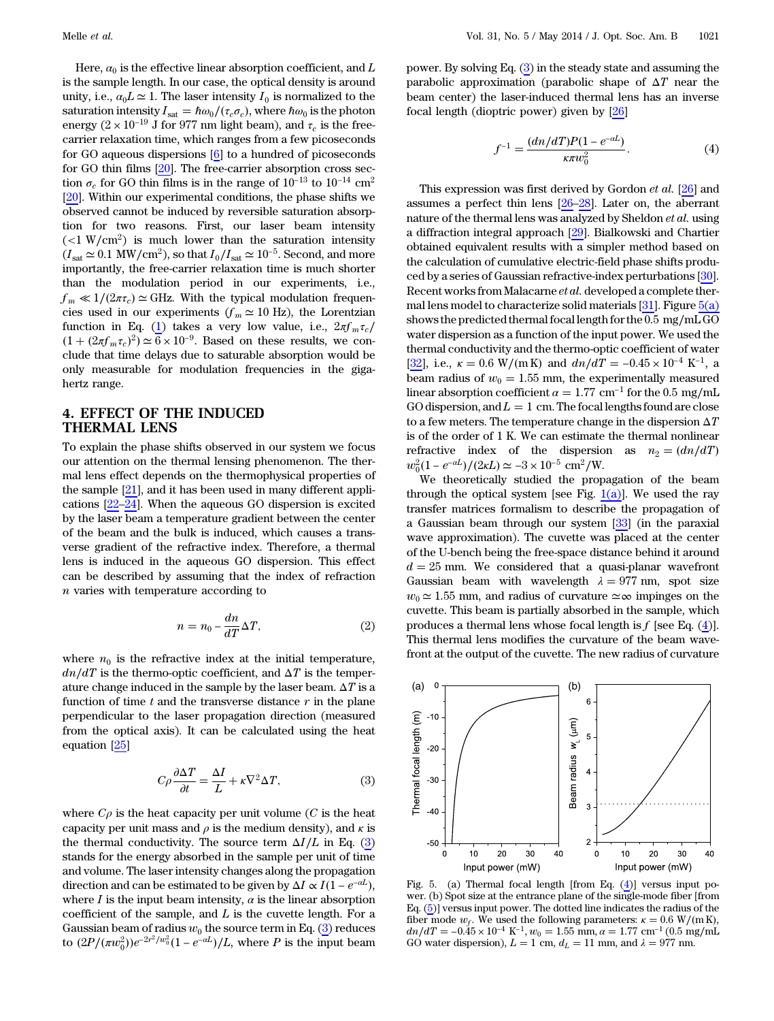Here,  $\alpha_0$  is the effective linear absorption coefficient, and L is the sample length. In our case, the optical density is around unity, i.e.,  $a_0 L \simeq 1$ . The laser intensity  $I_0$  is normalized to the saturation intensity  $I_{\text{sat}} = \hbar \omega_0 / (\tau_c \sigma_c)$ , where  $\hbar \omega_0$  is the photon energy ( $2 \times 10^{-19}$  J for 977 nm light beam), and  $\tau_c$  is the freecarrier relaxation time, which ranges from a few picoseconds for GO aqueous dispersions [\[6](#page-6-4)] to a hundred of picoseconds for GO thin films [[20\]](#page-7-7). The free-carrier absorption cross section $\sigma_c$  for GO thin films is in the range of  $10^{-13}$  to  $10^{-14}~{\rm cm^2}$ [[20\]](#page-7-7). Within our experimental conditions, the phase shifts we observed cannot be induced by reversible saturation absorption for two reasons. First, our laser beam intensity  $(<1 \text{ W/cm}^2$ ) is much lower than the saturation intensity  $(I<sub>sat</sub> \simeq 0.1 \text{ MW/cm}^2)$ , so that  $I_0/I<sub>sat</sub> \simeq 10^{-5}$ . Second, and more importantly, the free-carrier relaxation time is much shorter than the modulation period in our experiments, i.e.,  $f_m \ll 1/(2\pi\tau_c) \simeq$  GHz. With the typical modulation frequencies used in our experiments ( $f_m \approx 10$  Hz), the Lorentzian function in Eq. ([1](#page-2-3)) takes a very low value, i.e.,  $2\pi f_m \tau_c/$  $(1 + (2\pi f_m \tau_c)^2) \simeq \overline{6} \times 10^{-9}$ . Based on these results, we conclude that time delays due to saturable absorption would be only measurable for modulation frequencies in the gigahertz range.

## 4. EFFECT OF THE INDUCED THERMAL LENS

To explain the phase shifts observed in our system we focus our attention on the thermal lensing phenomenon. The thermal lens effect depends on the thermophysical properties of the sample [\[21](#page-7-8)], and it has been used in many different applications [\[22](#page-7-9)–[24\]](#page-7-10). When the aqueous GO dispersion is excited by the laser beam a temperature gradient between the center of the beam and the bulk is induced, which causes a transverse gradient of the refractive index. Therefore, a thermal lens is induced in the aqueous GO dispersion. This effect can be described by assuming that the index of refraction n varies with temperature according to

$$
n = n_0 - \frac{dn}{dT} \Delta T,\t\t(2)
$$

<span id="page-3-0"></span>where  $n_0$  is the refractive index at the initial temperature,  $dn/dT$  is the thermo-optic coefficient, and  $\Delta T$  is the temperature change induced in the sample by the laser beam.  $\Delta T$  is a function of time  $t$  and the transverse distance  $r$  in the plane perpendicular to the laser propagation direction (measured from the optical axis). It can be calculated using the heat equation [[25\]](#page-7-11)

$$
C\rho \frac{\partial \Delta T}{\partial t} = \frac{\Delta I}{L} + \kappa \nabla^2 \Delta T, \tag{3}
$$

where  $C_{\rho}$  is the heat capacity per unit volume (C is the heat capacity per unit mass and  $\rho$  is the medium density), and  $\kappa$  is the thermal conductivity. The source term  $\Delta I/L$  in Eq. [\(3\)](#page-3-0) stands for the energy absorbed in the sample per unit of time and volume. The laser intensity changes along the propagation direction and can be estimated to be given by  $\Delta I \propto I(1-e^{-\alpha L})$ , where  $I$  is the input beam intensity,  $\alpha$  is the linear absorption coefficient of the sample, and  $L$  is the cuvette length. For a Gaussian beam of radius  $w_0$  the source term in Eq. [\(3\)](#page-3-0) reduces to  $(2P/(\pi w_0^2))e^{-2r^2/w_0^2}(1-e^{-\alpha L})/L$ , where P is the input beam

<span id="page-3-2"></span>power. By solving Eq. [\(3](#page-3-0)) in the steady state and assuming the parabolic approximation (parabolic shape of  $\Delta T$  near the beam center) the laser-induced thermal lens has an inverse focal length (dioptric power) given by [\[26](#page-7-12)]

$$
f^{-1} = \frac{(dn/dT)P(1 - e^{-\alpha L})}{\kappa \pi w_0^2}.
$$
 (4)

This expression was first derived by Gordon et al. [\[26](#page-7-12)] and assumes a perfect thin lens [[26](#page-7-12)–[28](#page-7-13)]. Later on, the aberrant nature of the thermal lens was analyzed by Sheldon et al. using a diffraction integral approach [[29\]](#page-7-14). Bialkowski and Chartier obtained equivalent results with a simpler method based on the calculation of cumulative electric-field phase shifts produced by a series of Gaussian refractive-index perturbations [[30\]](#page-7-15). Recent works from Malacarne et al. developed a complete thermal lens model to characterize solid materials  $[31]$  $[31]$ . Figure  $5(a)$ shows the predicted thermal focal length for the 0.5 mg∕mL GO water dispersion as a function of the input power. We used the thermal conductivity and the thermo-optic coefficient of water [[32\]](#page-7-17), i.e.,  $\kappa = 0.6$  W/(mK) and  $dn/dT = -0.45 \times 10^{-4}$  K<sup>-1</sup>, a beam radius of  $w_0 = 1.55$  mm, the experimentally measured linear absorption coefficient  $\alpha = 1.77$  cm<sup>-1</sup> for the 0.5 mg/mL GO dispersion, and  $L = 1$  cm. The focal lengths found are close to a few meters. The temperature change in the dispersion  $\Delta T$ is of the order of 1 K. We can estimate the thermal nonlinear refractive index of the dispersion as  $n_2 = (dn/dT)$  $w_0^2(1 - e^{-\alpha L})/(2\kappa L) \simeq -3 \times 10^{-5} \text{ cm}^2/\text{W}.$ 

We theoretically studied the propagation of the beam through the optical system [see Fig.  $1(a)$ ]. We used the ray transfer matrices formalism to describe the propagation of a Gaussian beam through our system [[33\]](#page-7-18) (in the paraxial wave approximation). The cuvette was placed at the center of the U-bench being the free-space distance behind it around  $d = 25$  mm. We considered that a quasi-planar wavefront Gaussian beam with wavelength  $\lambda = 977$  nm, spot size  $w_0 \approx 1.55$  mm, and radius of curvature  $\simeq \infty$  impinges on the cuvette. This beam is partially absorbed in the sample, which produces a thermal lens whose focal length is  $f$  [see Eq. ([4](#page-3-2))]. This thermal lens modifies the curvature of the beam wavefront at the output of the cuvette. The new radius of curvature

<span id="page-3-1"></span>

Fig. 5. (a) Thermal focal length [from Eq. ([4\)](#page-3-2)] versus input power. (b) Spot size at the entrance plane of the single-mode fiber [from Eq. [\(5](#page-4-0))] versus input power. The dotted line indicates the radius of the fiber mode  $w_f$ . We used the following parameters:  $\kappa = 0.6$  W/(mK),  $dn/dT = -0.45 \times 10^{-4} \text{ K}^{-1}$ ,  $w_0 = 1.55 \text{ mm}$ ,  $\alpha = 1.77 \text{ cm}^{-1} (0.5 \text{ mg/mL})$ GO water dispersion),  $L = 1$  cm,  $d_L = 11$  mm, and  $\lambda = 977$  nm.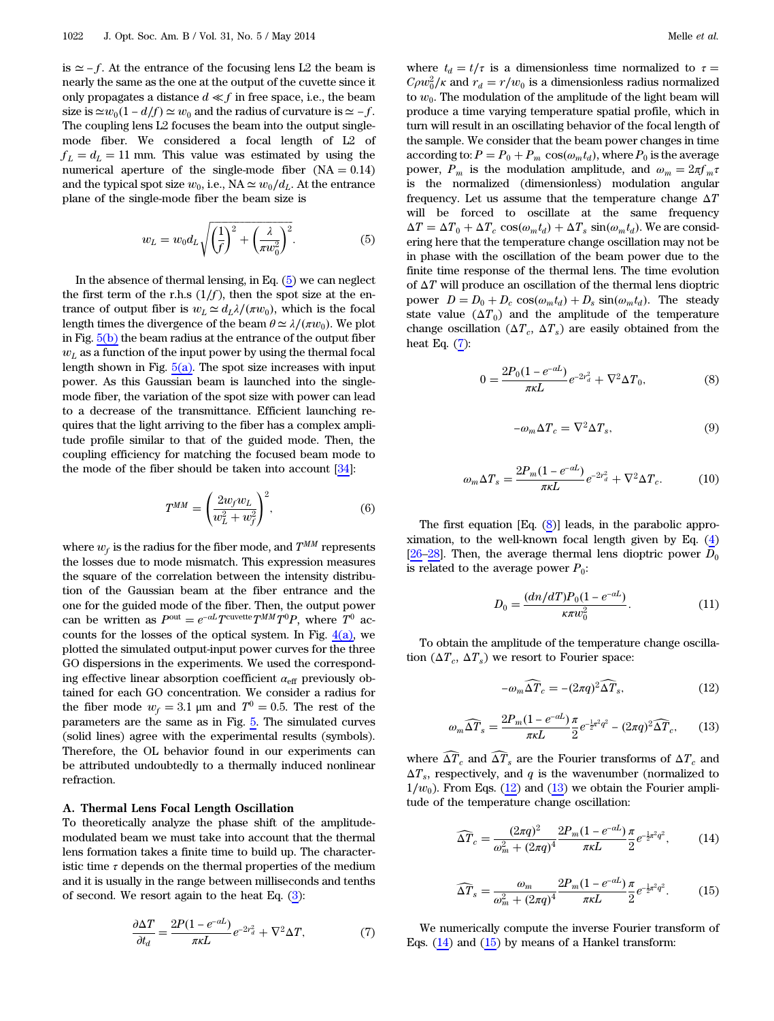is  $\simeq$  − f. At the entrance of the focusing lens L2 the beam is nearly the same as the one at the output of the cuvette since it only propagates a distance  $d \ll f$  in free space, i.e., the beam size is  $\simeq w_0(1 - d/f) \simeq w_0$  and the radius of curvature is  $\simeq -f$ . The coupling lens L2 focuses the beam into the output singlemode fiber. We considered a focal length of L2 of  $f_L = d_L = 11$  mm. This value was estimated by using the numerical aperture of the single-mode fiber  $(NA = 0.14)$ and the typical spot size  $w_0$ , i.e., NA  $\simeq w_0/d_L$ . At the entrance plane of the single-mode fiber the beam size is

<span id="page-4-0"></span>
$$
w_L = w_0 d_L \sqrt{\left(\frac{1}{f}\right)^2 + \left(\frac{\lambda}{\pi w_0^2}\right)^2}.
$$
 (5)

In the absence of thermal lensing, in Eq. ([5](#page-4-0)) we can neglect the first term of the r.h.s  $(1/f)$ , then the spot size at the entrance of output fiber is  $w_L \simeq d_L \lambda/(\pi w_0)$ , which is the focal length times the divergence of the beam  $\theta \simeq \lambda/(\pi w_0)$ . We plot in Fig.  $5(b)$  the beam radius at the entrance of the output fiber  $w<sub>L</sub>$  as a function of the input power by using the thermal focal length shown in Fig.  $5(a)$ . The spot size increases with input power. As this Gaussian beam is launched into the singlemode fiber, the variation of the spot size with power can lead to a decrease of the transmittance. Efficient launching requires that the light arriving to the fiber has a complex amplitude profile similar to that of the guided mode. Then, the coupling efficiency for matching the focused beam mode to the mode of the fiber should be taken into account [\[34](#page-7-19)]:

$$
T^{MM} = \left(\frac{2w_f w_L}{w_L^2 + w_f^2}\right)^2,\tag{6}
$$

where  $w_f$  is the radius for the fiber mode, and  $T^{MM}$  represents the losses due to mode mismatch. This expression measures the square of the correlation between the intensity distribution of the Gaussian beam at the fiber entrance and the one for the guided mode of the fiber. Then, the output power can be written as  $P^{out} = e^{-\alpha L} T^{c} W^{out} T^{0} P$ , where  $T^{0}$  accounts for the losses of the optical system. In Fig.  $4(a)$ , we plotted the simulated output-input power curves for the three GO dispersions in the experiments. We used the corresponding effective linear absorption coefficient  $\alpha_{\text{eff}}$  previously obtained for each GO concentration. We consider a radius for the fiber mode  $w_f = 3.1$  µm and  $T^0 = 0.5$ . The rest of the parameters are the same as in Fig. [5.](#page-3-1) The simulated curves (solid lines) agree with the experimental results (symbols). Therefore, the OL behavior found in our experiments can be attributed undoubtedly to a thermally induced nonlinear refraction.

#### A. Thermal Lens Focal Length Oscillation

<span id="page-4-1"></span>To theoretically analyze the phase shift of the amplitudemodulated beam we must take into account that the thermal lens formation takes a finite time to build up. The characteristic time  $\tau$  depends on the thermal properties of the medium and it is usually in the range between milliseconds and tenths of second. We resort again to the heat Eq. [\(3\)](#page-3-0):

$$
\frac{\partial \Delta T}{\partial t_d} = \frac{2P(1 - e^{-\alpha L})}{\pi \kappa L} e^{-2r_d^2} + \nabla^2 \Delta T,\tag{7}
$$

where  $t_d = t/\tau$  is a dimensionless time normalized to  $\tau =$  $C\rho w_0^2/\kappa$  and  $r_d = r/w_0$  is a dimensionless radius normalized to  $w_0$ . The modulation of the amplitude of the light beam will produce a time varying temperature spatial profile, which in turn will result in an oscillating behavior of the focal length of the sample. We consider that the beam power changes in time according to:  $P = P_0 + P_m \cos(\omega_m t_d)$ , where  $P_0$  is the average power,  $P_m$  is the modulation amplitude, and  $\omega_m = 2\pi f_m \tau$ is the normalized (dimensionless) modulation angular frequency. Let us assume that the temperature change  $\Delta T$ will be forced to oscillate at the same frequency  $\Delta T = \Delta T_0 + \Delta T_c \cos(\omega_m t_d) + \Delta T_s \sin(\omega_m t_d)$ . We are considering here that the temperature change oscillation may not be in phase with the oscillation of the beam power due to the finite time response of the thermal lens. The time evolution of  $\Delta T$  will produce an oscillation of the thermal lens dioptric power  $D = D_0 + D_c \cos(\omega_m t_d) + D_s \sin(\omega_m t_d)$ . The steady state value  $(\Delta T_0)$  and the amplitude of the temperature change oscillation ( $\Delta T_c$ ,  $\Delta T_s$ ) are easily obtained from the heat Eq.  $(7)$ :

<span id="page-4-2"></span>
$$
0 = \frac{2P_0(1 - e^{-aL})}{\pi \kappa L} e^{-2r_d^2} + \nabla^2 \Delta T_0,
$$
\n(8)

$$
-\omega_m \Delta T_c = \nabla^2 \Delta T_s,\tag{9}
$$

$$
\omega_m \Delta T_s = \frac{2P_m(1 - e^{-aL})}{\pi \kappa L} e^{-2r_a^2} + \nabla^2 \Delta T_c.
$$
 (10)

The first equation [Eq. [\(8\)](#page-4-2)] leads, in the parabolic approximation, to the well-known focal length given by Eq. [\(4\)](#page-3-2) [[26](#page-7-12)–[28](#page-7-13)]. Then, the average thermal lens dioptric power  $D_0$ is related to the average power  $P_0$ :

$$
D_0 = \frac{(dn/dT)P_0(1 - e^{-aL})}{\kappa \pi w_0^2}.
$$
 (11)

<span id="page-4-4"></span><span id="page-4-3"></span>To obtain the amplitude of the temperature change oscillation  $(\Delta T_c, \Delta T_s)$  we resort to Fourier space:

$$
-\omega_m \widehat{\Delta T}_c = -(2\pi q)^2 \widehat{\Delta T}_s,\tag{12}
$$

$$
\omega_m \widehat{\Delta T}_s = \frac{2P_m(1 - e^{-aL})}{\pi \kappa L} \frac{\pi}{2} e^{-\frac{1}{2}\pi^2 q^2} - (2\pi q)^2 \widehat{\Delta T}_c, \qquad (13)
$$

<span id="page-4-5"></span>where  $\widehat{\Delta T}_c$  and  $\widehat{\Delta T}_s$  are the Fourier transforms of  $\Delta T_c$  and  $\Delta T_s$ , respectively, and q is the wavenumber (normalized to  $1/w_0$ ). From Eqs. [\(12](#page-4-3)) and [\(13](#page-4-4)) we obtain the Fourier amplitude of the temperature change oscillation:

<span id="page-4-6"></span>
$$
\widehat{\Delta T}_c = \frac{(2\pi q)^2}{\omega_m^2 + (2\pi q)^4} \frac{2P_m(1 - e^{-\alpha L})}{\pi \kappa L} \frac{\pi}{2} e^{-\frac{1}{2}\pi^2 q^2},\tag{14}
$$

$$
\widehat{\Delta T}_s = \frac{\omega_m}{\omega_m^2 + (2\pi q)^4} \frac{2P_m(1 - e^{-\alpha L})}{\pi \kappa L} \frac{\pi}{2} e^{-\frac{1}{2}\pi^2 q^2}.
$$
 (15)

We numerically compute the inverse Fourier transform of Eqs.  $(14)$  $(14)$  and  $(15)$  $(15)$  by means of a Hankel transform: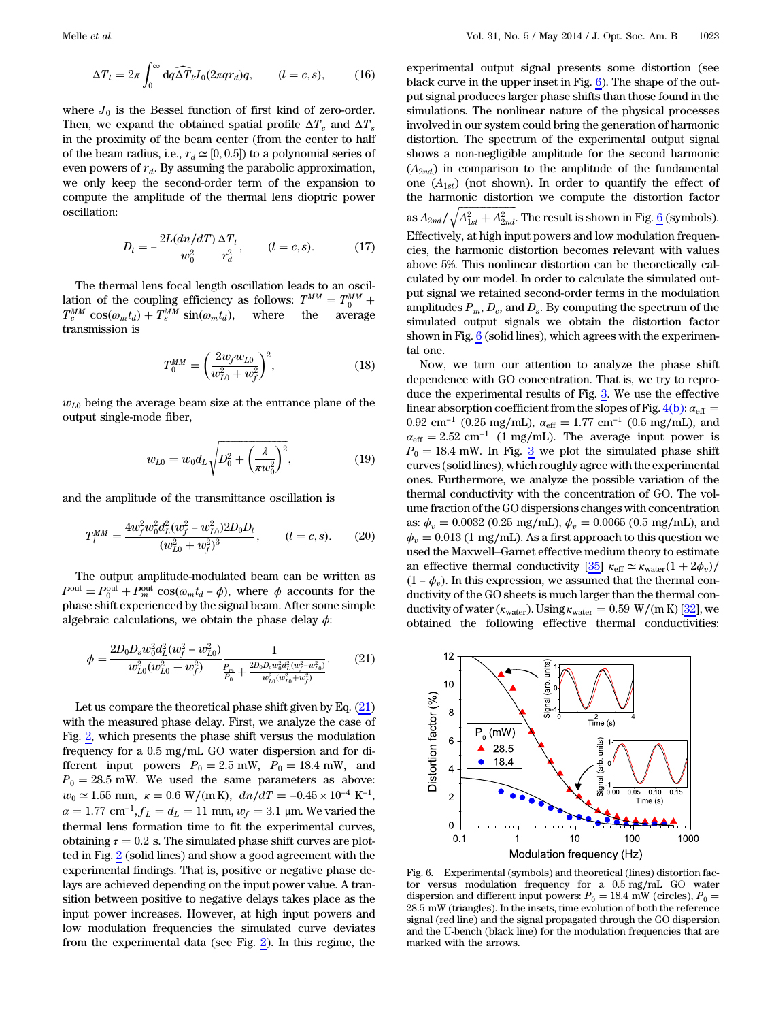$$
\Delta T_l = 2\pi \int_0^\infty dq \widehat{\Delta T}_l J_0(2\pi q r_d) q, \qquad (l = c, s), \qquad (16)
$$

where  $J_0$  is the Bessel function of first kind of zero-order. Then, we expand the obtained spatial profile  $\Delta T_c$  and  $\Delta T_s$ in the proximity of the beam center (from the center to half of the beam radius, i.e.,  $r_d \approx [0, 0.5]$  to a polynomial series of even powers of  $r_d$ . By assuming the parabolic approximation, we only keep the second-order term of the expansion to compute the amplitude of the thermal lens dioptric power oscillation:

$$
D_l = -\frac{2L(dn/dT)}{w_0^2} \frac{\Delta T_l}{r_d^2}, \qquad (l = c, s). \tag{17}
$$

The thermal lens focal length oscillation leads to an oscillation of the coupling efficiency as follows:  $T^{MM} = T^{MM}_{0} + T^{MM}_{c} \cos(\omega_m t_d) + T^{MM}_{s} \sin(\omega_m t_d)$ , where the average transmission is

$$
T_0^{MM} = \left(\frac{2w_f w_{L0}}{w_{L0}^2 + w_f^2}\right)^2, \tag{18}
$$

 $w_{L0}$  being the average beam size at the entrance plane of the output single-mode fiber,

$$
w_{L0} = w_0 d_L \sqrt{D_0^2 + \left(\frac{\lambda}{\pi w_0^2}\right)^2},
$$
\n(19)

and the amplitude of the transmittance oscillation is

$$
T_l^{MM} = \frac{4w_f^2 w_0^2 d_L^2 (w_f^2 - w_{LO}^2) 2D_0 D_l}{(w_{LO}^2 + w_f^2)^3}, \qquad (l = c, s). \tag{20}
$$

<span id="page-5-0"></span>The output amplitude-modulated beam can be written as  $P^{\text{out}} = P_0^{\text{out}} + P_m^{\text{out}} \cos(\omega_m t_d - \phi)$ , where  $\phi$  accounts for the phase shift experienced by the signal beam. After some simple algebraic calculations, we obtain the phase delay  $\phi$ :

$$
\phi = \frac{2D_0 D_s w_0^2 d_L^2 (w_f^2 - w_{L0}^2)}{w_{L0}^2 (w_{L0}^2 + w_f^2)} \frac{1}{\frac{P_m}{P_0} + \frac{2D_0 D_c w_0^2 d_L^2 (w_f^2 - w_{L0}^2)}{w_{L0}^2 (w_{L0}^2 + w_f^2)}}.
$$
(21)

Let us compare the theoretical phase shift given by Eq.  $(21)$  $(21)$ with the measured phase delay. First, we analyze the case of Fig. [2](#page-2-0), which presents the phase shift versus the modulation frequency for a 0.5 mg∕mL GO water dispersion and for different input powers  $P_0 = 2.5$  mW,  $P_0 = 18.4$  mW, and  $P_0 = 28.5$  mW. We used the same parameters as above:  $w_0 \simeq 1.55$  mm,  $\kappa = 0.6$  W/(mK),  $dn/dT = -0.45 \times 10^{-4}$  K<sup>-1</sup>,  $\alpha = 1.77$  cm<sup>-1</sup>,  $f_L = d_L = 11$  mm,  $w_f = 3.1$  µm. We varied the thermal lens formation time to fit the experimental curves, obtaining  $\tau = 0.2$  s. The simulated phase shift curves are plotted in Fig. [2](#page-2-0) (solid lines) and show a good agreement with the experimental findings. That is, positive or negative phase delays are achieved depending on the input power value. A transition between positive to negative delays takes place as the input power increases. However, at high input powers and low modulation frequencies the simulated curve deviates from the experimental data (see Fig. [2](#page-2-0)). In this regime, the

experimental output signal presents some distortion (see black curve in the upper inset in Fig. [6\)](#page-5-1). The shape of the output signal produces larger phase shifts than those found in the simulations. The nonlinear nature of the physical processes involved in our system could bring the generation of harmonic distortion. The spectrum of the experimental output signal shows a non-negligible amplitude for the second harmonic  $(A_{2nd})$  in comparison to the amplitude of the fundamental one  $(A_{1st})$  (not shown). In order to quantify the effect of the harmonic distortion we compute the distortion factor the narmonic distortion we compute the distortion factor<br>as  $A_{2nd}/\sqrt{A_{1st}^2+A_{2nd}^2}$ . The result is shown in Fig. <u>[6](#page-5-1)</u> (symbols). Effectively, at high input powers and low modulation frequencies, the harmonic distortion becomes relevant with values above 5%. This nonlinear distortion can be theoretically calculated by our model. In order to calculate the simulated output signal we retained second-order terms in the modulation amplitudes  $P_m$ ,  $D_c$ , and  $D_s$ . By computing the spectrum of the simulated output signals we obtain the distortion factor shown in Fig.  $6$  (solid lines), which agrees with the experimental one.

Now, we turn our attention to analyze the phase shift dependence with GO concentration. That is, we try to reproduce the experimental results of Fig. [3.](#page-2-1) We use the effective linear absorption coefficient from the slopes of Fig.  $4(b)$ :  $\alpha_{\text{eff}} =$ 0.92 cm<sup>-1</sup> (0.25 mg/mL),  $\alpha_{\text{eff}} = 1.77 \text{ cm}^{-1}$  (0.5 mg/mL), and  $\alpha_{\text{eff}} = 2.52 \text{ cm}^{-1}$  (1 mg/mL). The average input power is  $P_0 = 18.4$  mW. In Fig.  $\frac{3}{5}$  $\frac{3}{5}$  $\frac{3}{5}$  we plot the simulated phase shift curves (solid lines), which roughly agree with the experimental ones. Furthermore, we analyze the possible variation of the thermal conductivity with the concentration of GO. The volume fraction of the GO dispersions changes with concentration as:  $\phi_v = 0.0032$  (0.25 mg/mL),  $\phi_v = 0.0065$  (0.5 mg/mL), and  $\phi_v = 0.013$  (1 mg/mL). As a first approach to this question we used the Maxwell–Garnet effective medium theory to estimate an effective thermal conductivity  $[35]$  $[35]$   $\kappa_{\text{eff}} \simeq \kappa_{\text{water}}(1 + 2\phi_v)$ /  $(1 - \phi_v)$ . In this expression, we assumed that the thermal conductivity of the GO sheets is much larger than the thermal conductivity of water ( $\kappa_{\text{water}}$ ). Using  $\kappa_{\text{water}} = 0.59 \text{ W/(m K)}$  [\[32](#page-7-17)], we obtained the following effective thermal conductivities:

<span id="page-5-1"></span>

Fig. 6. Experimental (symbols) and theoretical (lines) distortion factor versus modulation frequency for a 0.5 mg∕mL GO water dispersion and different input powers:  $P_0 = 18.4$  mW (circles),  $P_0 =$ 28.5 mW (triangles). In the insets, time evolution of both the reference signal (red line) and the signal propagated through the GO dispersion and the U-bench (black line) for the modulation frequencies that are marked with the arrows.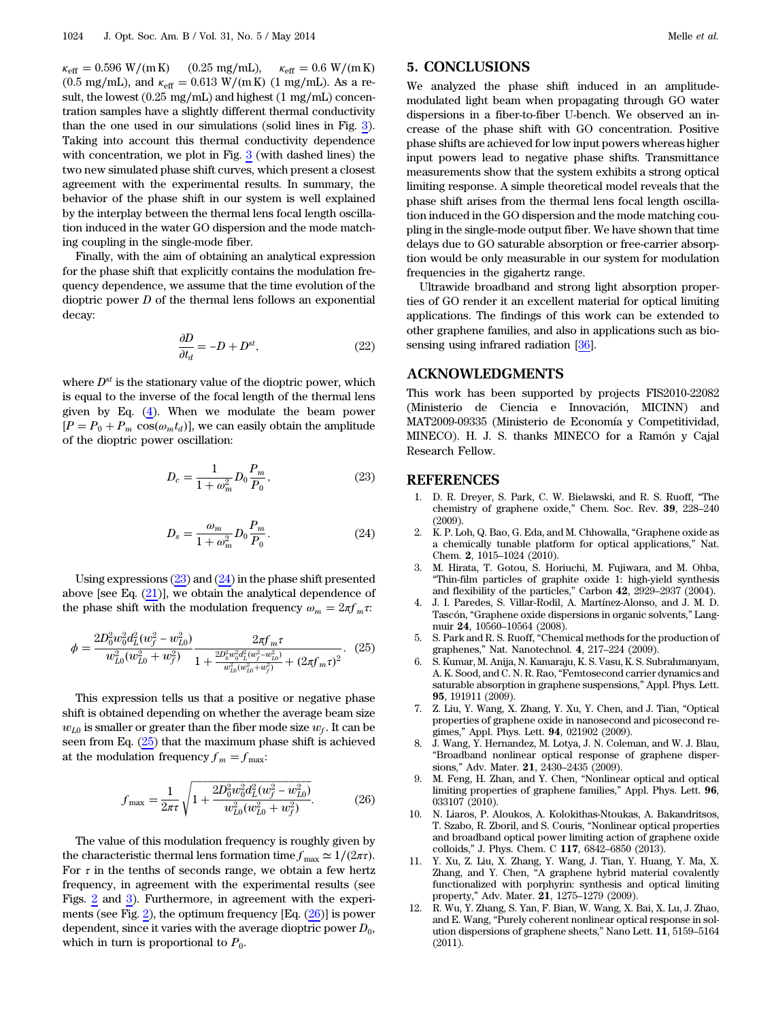$\kappa_{\rm eff} = 0.596 \text{ W/(m K)}$  (0.25 mg/mL),  $\kappa_{\rm eff} = 0.6 \text{ W/(m K)}$ (0.5 mg/mL), and  $\kappa_{\rm eff} = 0.613$  W/(mK) (1 mg/mL). As a result, the lowest (0.25 mg∕mL) and highest (1 mg∕mL) concentration samples have a slightly different thermal conductivity than the one used in our simulations (solid lines in Fig. [3](#page-2-1)). Taking into account this thermal conductivity dependence with concentration, we plot in Fig. [3](#page-2-1) (with dashed lines) the two new simulated phase shift curves, which present a closest agreement with the experimental results. In summary, the behavior of the phase shift in our system is well explained by the interplay between the thermal lens focal length oscillation induced in the water GO dispersion and the mode matching coupling in the single-mode fiber.

Finally, with the aim of obtaining an analytical expression for the phase shift that explicitly contains the modulation frequency dependence, we assume that the time evolution of the dioptric power  $D$  of the thermal lens follows an exponential decay:

$$
\frac{\partial D}{\partial t_d} = -D + D^{st},\tag{22}
$$

<span id="page-6-12"></span><span id="page-6-11"></span>where  $D^{st}$  is the stationary value of the dioptric power, which is equal to the inverse of the focal length of the thermal lens given by Eq. ([4](#page-3-2)). When we modulate the beam power  $[P = P_0 + P_m \cos(\omega_m t_d)],$  we can easily obtain the amplitude of the dioptric power oscillation:

$$
D_c = \frac{1}{1 + \omega_m^2} D_0 \frac{P_m}{P_0},\tag{23}
$$

$$
D_s = \frac{\omega_m}{1 + \omega_m^2} D_0 \frac{P_m}{P_0}.
$$
 (24)

<span id="page-6-13"></span>Using expressions  $(23)$  and  $(24)$  $(24)$  in the phase shift presented above [see Eq.  $(21)$  $(21)$ ], we obtain the analytical dependence of the phase shift with the modulation frequency  $\omega_m = 2\pi f_m \tau$ :

$$
\phi = \frac{2D_0^2 w_0^2 d_L^2 (w_f^2 - w_{L0}^2)}{w_{L0}^2 (w_{L0}^2 + w_f^2)} \frac{2\pi f_m \tau}{1 + \frac{2D_0^2 w_0^2 d_L^2 (w_f^2 - w_{L0}^2)}{w_{L0}^2 (w_{L0}^2 + w_f^2)} + (2\pi f_m \tau)^2}.
$$
 (25)

<span id="page-6-14"></span>This expression tells us that a positive or negative phase shift is obtained depending on whether the average beam size  $w_{L0}$  is smaller or greater than the fiber mode size  $w_f$ . It can be seen from Eq.  $(25)$  $(25)$  that the maximum phase shift is achieved at the modulation frequency  $f_m = f_{\text{max}}$ :

$$
f_{\text{max}} = \frac{1}{2\pi\tau} \sqrt{1 + \frac{2D_0^2 w_0^2 d_L^2 (w_f^2 - w_{L0}^2)}{w_{L0}^2 (w_{L0}^2 + w_f^2)}}.
$$
(26)

The value of this modulation frequency is roughly given by the characteristic thermal lens formation time  $f_{\text{max}} \simeq 1/(2\pi\tau)$ . For  $\tau$  in the tenths of seconds range, we obtain a few hertz frequency, in agreement with the experimental results (see Figs. [2](#page-2-0) and [3\)](#page-2-1). Furthermore, in agreement with the experi-ments (see Fig. [2](#page-2-0)), the optimum frequency  $[Eq. (26)]$  $[Eq. (26)]$  $[Eq. (26)]$  is power dependent, since it varies with the average dioptric power  $D_0$ , which in turn is proportional to  $P_0$ .

# 5. CONCLUSIONS

We analyzed the phase shift induced in an amplitudemodulated light beam when propagating through GO water dispersions in a fiber-to-fiber U-bench. We observed an increase of the phase shift with GO concentration. Positive phase shifts are achieved for low input powers whereas higher input powers lead to negative phase shifts. Transmittance measurements show that the system exhibits a strong optical limiting response. A simple theoretical model reveals that the phase shift arises from the thermal lens focal length oscillation induced in the GO dispersion and the mode matching coupling in the single-mode output fiber. We have shown that time delays due to GO saturable absorption or free-carrier absorption would be only measurable in our system for modulation frequencies in the gigahertz range.

Ultrawide broadband and strong light absorption properties of GO render it an excellent material for optical limiting applications. The findings of this work can be extended to other graphene families, and also in applications such as bio-sensing using infrared radiation [[36\]](#page-7-21).

#### ACKNOWLEDGMENTS

This work has been supported by projects FIS2010-22082 (Ministerio de Ciencia e Innovación, MICINN) and MAT2009-09335 (Ministerio de Economía y Competitividad, MINECO). H. J. S. thanks MINECO for a Ramón y Cajal Research Fellow.

#### <span id="page-6-0"></span>REFERENCES

- 1. D. R. Dreyer, S. Park, C. W. Bielawski, and R. S. Ruoff, "The chemistry of graphene oxide," Chem. Soc. Rev. <sup>39</sup>, 228–<sup>240</sup> (2009).
- <span id="page-6-1"></span>2. K. P. Loh, Q. Bao, G. Eda, and M. Chhowalla, "Graphene oxide as a chemically tunable platform for optical applications," Nat. Chem. <sup>2</sup>, 1015–1024 (2010).
- <span id="page-6-2"></span>3. M. Hirata, T. Gotou, S. Horiuchi, M. Fujiwara, and M. Ohba, "Thin-film particles of graphite oxide 1: high-yield synthesis and flexibility of the particles," Carbon <sup>42</sup>, 2929–2937 (2004).
- 4. J. I. Paredes, S. Villar-Rodil, A. Martínez-Alonso, and J. M. D. Tascón, "Graphene oxide dispersions in organic solvents," Langmuir <sup>24</sup>, 10560–10564 (2008).
- <span id="page-6-3"></span>5. S. Park and R. S. Ruoff, "Chemical methods for the production of graphenes," Nat. Nanotechnol. <sup>4</sup>, 217–224 (2009).
- <span id="page-6-4"></span>6. S. Kumar, M. Anija, N. Kamaraju, K. S. Vasu, K. S. Subrahmanyam, A. K. Sood, and C. N. R. Rao,"Femtosecond carrier dynamics and saturable absorption in graphene suspensions," Appl. Phys. Lett. 95, 191911 (2009).
- <span id="page-6-5"></span>7. Z. Liu, Y. Wang, X. Zhang, Y. Xu, Y. Chen, and J. Tian, "Optical properties of graphene oxide in nanosecond and picosecond regimes," Appl. Phys. Lett. <sup>94</sup>, 021902 (2009).
- <span id="page-6-6"></span>8. J. Wang, Y. Hernandez, M. Lotya, J. N. Coleman, and W. J. Blau, "Broadband nonlinear optical response of graphene dispersions," Adv. Mater. <sup>21</sup>, 2430–2435 (2009).
- <span id="page-6-8"></span>9. M. Feng, H. Zhan, and Y. Chen, "Nonlinear optical and optical limiting properties of graphene families," Appl. Phys. Lett. <sup>96</sup>, 033107 (2010).
- <span id="page-6-7"></span>10. N. Liaros, P. Aloukos, A. Kolokithas-Ntoukas, A. Bakandritsos, T. Szabo, R. Zboril, and S. Couris, "Nonlinear optical properties and broadband optical power limiting action of graphene oxide colloids," J. Phys. Chem. C <sup>117</sup>, 6842–6850 (2013).
- <span id="page-6-9"></span>11. Y. Xu, Z. Liu, X. Zhang, Y. Wang, J. Tian, Y. Huang, Y. Ma, X. Zhang, and Y. Chen, "A graphene hybrid material covalently functionalized with porphyrin: synthesis and optical limiting property," Adv. Mater. <sup>21</sup>, 1275–1279 (2009).
- <span id="page-6-10"></span>12. R. Wu, Y. Zhang, S. Yan, F. Bian, W. Wang, X. Bai, X. Lu, J. Zhao, and E. Wang, "Purely coherent nonlinear optical response in solution dispersions of graphene sheets," Nano Lett. <sup>11</sup>, 5159–<sup>5164</sup> (2011).